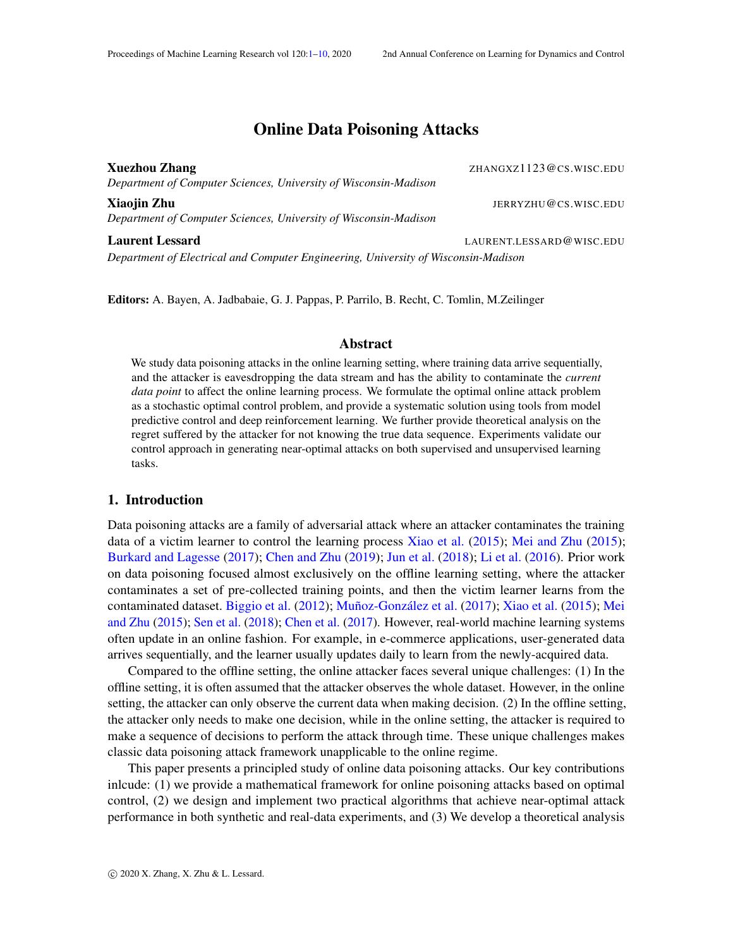# Online Data Poisoning Attacks

<span id="page-0-0"></span>Xuezhou Zhang Zhang Zhang Zhang Zhang Zhang Zhang Zhang Zhang Zhang Zhang Zhang Zhang Zhang Zhang Zhang Zhang Zhang Zhang Zhang Zhang Zhang Zhang Zhang Zhang Zhang Zhang Zhang Zhang Zhang Zhang Zhang Zhang Zhang Zhang Zhan *Department of Computer Sciences, University of Wisconsin-Madison*

**Xiaojin Zhu JERRYZHU@CS.WISC.EDU** *Department of Computer Sciences, University of Wisconsin-Madison*

Laurent Lessard **Laurent Lessard LAURENT.LESSARD@WISC.EDU** *Department of Electrical and Computer Engineering, University of Wisconsin-Madison*

Editors: A. Bayen, A. Jadbabaie, G. J. Pappas, P. Parrilo, B. Recht, C. Tomlin, M.Zeilinger

# Abstract

We study data poisoning attacks in the online learning setting, where training data arrive sequentially, and the attacker is eavesdropping the data stream and has the ability to contaminate the *current data point* to affect the online learning process. We formulate the optimal online attack problem as a stochastic optimal control problem, and provide a systematic solution using tools from model predictive control and deep reinforcement learning. We further provide theoretical analysis on the regret suffered by the attacker for not knowing the true data sequence. Experiments validate our control approach in generating near-optimal attacks on both supervised and unsupervised learning tasks.

# 1. Introduction

Data poisoning attacks are a family of adversarial attack where an attacker contaminates the training data of a victim learner to control the learning process [Xiao et al.](#page-9-1) [\(2015\)](#page-9-1); [Mei and Zhu](#page-9-2) [\(2015\)](#page-9-2); [Burkard and Lagesse](#page-8-0) [\(2017\)](#page-8-0); [Chen and Zhu](#page-8-1) [\(2019\)](#page-8-1); [Jun et al.](#page-8-2) [\(2018\)](#page-8-2); [Li et al.](#page-9-3) [\(2016\)](#page-9-3). Prior work on data poisoning focused almost exclusively on the offline learning setting, where the attacker contaminates a set of pre-collected training points, and then the victim learner learns from the contaminated dataset. [Biggio et al.](#page-8-3) [\(2012\)](#page-8-3); [Muñoz-González et al.](#page-9-4) [\(2017\)](#page-9-4); [Xiao et al.](#page-9-1) [\(2015\)](#page-9-1); [Mei](#page-9-2) [and Zhu](#page-9-2) [\(2015\)](#page-9-2); [Sen et al.](#page-9-5) [\(2018\)](#page-9-5); [Chen et al.](#page-8-4) [\(2017\)](#page-8-4). However, real-world machine learning systems often update in an online fashion. For example, in e-commerce applications, user-generated data arrives sequentially, and the learner usually updates daily to learn from the newly-acquired data.

Compared to the offline setting, the online attacker faces several unique challenges: (1) In the offline setting, it is often assumed that the attacker observes the whole dataset. However, in the online setting, the attacker can only observe the current data when making decision. (2) In the offline setting, the attacker only needs to make one decision, while in the online setting, the attacker is required to make a sequence of decisions to perform the attack through time. These unique challenges makes classic data poisoning attack framework unapplicable to the online regime.

This paper presents a principled study of online data poisoning attacks. Our key contributions inlcude: (1) we provide a mathematical framework for online poisoning attacks based on optimal control, (2) we design and implement two practical algorithms that achieve near-optimal attack performance in both synthetic and real-data experiments, and (3) We develop a theoretical analysis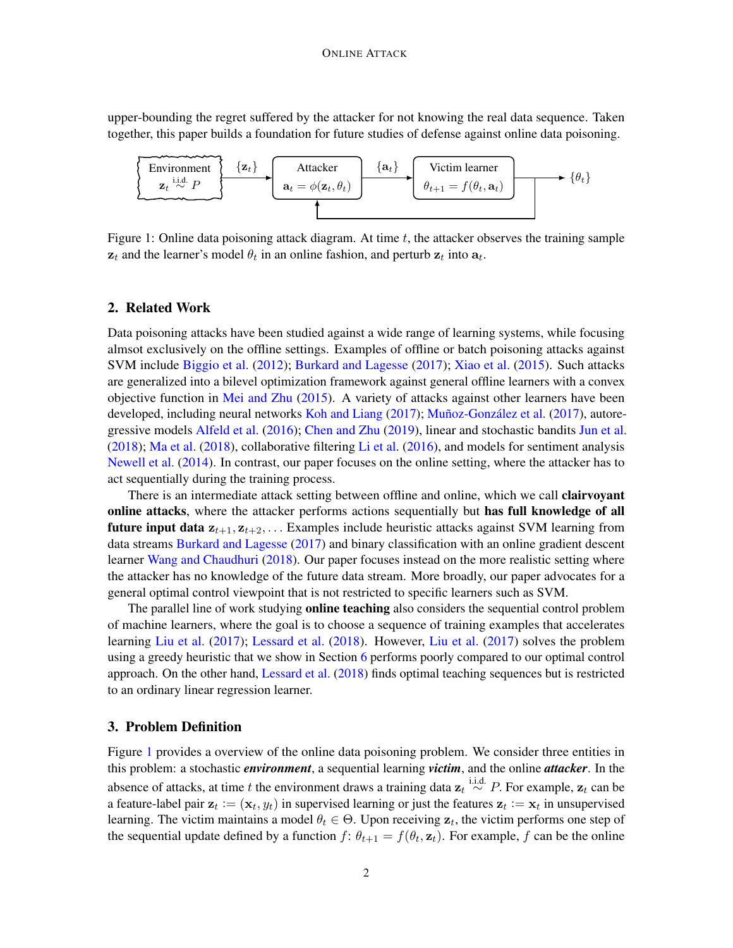upper-bounding the regret suffered by the attacker for not knowing the real data sequence. Taken together, this paper builds a foundation for future studies of defense against online data poisoning.

<span id="page-1-0"></span>

Figure 1: Online data poisoning attack diagram. At time  $t$ , the attacker observes the training sample  $z_t$  and the learner's model  $\theta_t$  in an online fashion, and perturb  $z_t$  into  $a_t$ .

#### 2. Related Work

Data poisoning attacks have been studied against a wide range of learning systems, while focusing almsot exclusively on the offline settings. Examples of offline or batch poisoning attacks against SVM include [Biggio et al.](#page-8-3) [\(2012\)](#page-8-3); [Burkard and Lagesse](#page-8-0) [\(2017\)](#page-8-0); [Xiao et al.](#page-9-1) [\(2015\)](#page-9-1). Such attacks are generalized into a bilevel optimization framework against general offline learners with a convex objective function in [Mei and Zhu](#page-9-2)  $(2015)$ . A variety of attacks against other learners have been developed, including neural networks [Koh and Liang](#page-8-5) [\(2017\)](#page-8-5); [Muñoz-González et al.](#page-9-4) [\(2017\)](#page-9-4), autoregressive models [Alfeld et al.](#page-8-6) [\(2016\)](#page-8-6); [Chen and Zhu](#page-8-1) [\(2019\)](#page-8-1), linear and stochastic bandits [Jun et al.](#page-8-2) [\(2018\)](#page-8-2); [Ma et al.](#page-9-6) [\(2018\)](#page-9-6), collaborative filtering [Li et al.](#page-9-3) [\(2016\)](#page-9-3), and models for sentiment analysis [Newell et al.](#page-9-7) [\(2014\)](#page-9-7). In contrast, our paper focuses on the online setting, where the attacker has to act sequentially during the training process.

There is an intermediate attack setting between offline and online, which we call **clairvoyant** online attacks, where the attacker performs actions sequentially but has full knowledge of all future input data  $z_{t+1}, z_{t+2}, \ldots$  Examples include heuristic attacks against SVM learning from data streams [Burkard and Lagesse](#page-8-0) [\(2017\)](#page-8-0) and binary classification with an online gradient descent learner [Wang and Chaudhuri](#page-9-8) [\(2018\)](#page-9-8). Our paper focuses instead on the more realistic setting where the attacker has no knowledge of the future data stream. More broadly, our paper advocates for a general optimal control viewpoint that is not restricted to specific learners such as SVM.

The parallel line of work studying **online teaching** also considers the sequential control problem of machine learners, where the goal is to choose a sequence of training examples that accelerates learning [Liu et al.](#page-9-9) [\(2017\)](#page-9-9); [Lessard et al.](#page-8-7) [\(2018\)](#page-8-7). However, [Liu et al.](#page-9-9) [\(2017\)](#page-9-9) solves the problem using a greedy heuristic that we show in Section [6](#page-4-0) performs poorly compared to our optimal control approach. On the other hand, [Lessard et al.](#page-8-7) [\(2018\)](#page-8-7) finds optimal teaching sequences but is restricted to an ordinary linear regression learner.

#### 3. Problem Definition

Figure [1](#page-1-0) provides a overview of the online data poisoning problem. We consider three entities in this problem: a stochastic *environment*, a sequential learning *victim*, and the online *attacker*. In the absence of attacks, at time t the environment draws a training data  $\mathbf{z}_t \stackrel{\text{i.i.d.}}{\sim} P$ . For example,  $\mathbf{z}_t$  can be a feature-label pair  $z_t := (x_t, y_t)$  in supervised learning or just the features  $z_t := x_t$  in unsupervised learning. The victim maintains a model  $\theta_t \in \Theta$ . Upon receiving  $z_t$ , the victim performs one step of the sequential update defined by a function  $f: \theta_{t+1} = f(\theta_t, \mathbf{z}_t)$ . For example, f can be the online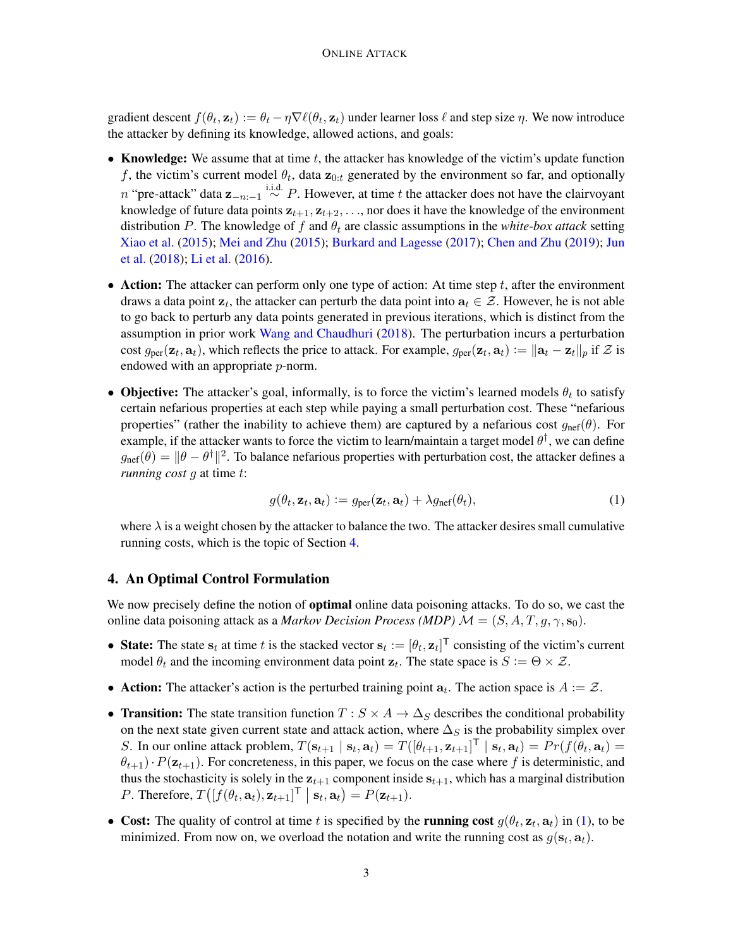gradient descent  $f(\theta_t, \mathbf{z}_t) := \theta_t - \eta \nabla \ell(\theta_t, \mathbf{z}_t)$  under learner loss  $\ell$  and step size  $\eta$ . We now introduce the attacker by defining its knowledge, allowed actions, and goals:

- Knowledge: We assume that at time  $t$ , the attacker has knowledge of the victim's update function f, the victim's current model  $\theta_t$ , data  $\mathbf{z}_{0:t}$  generated by the environment so far, and optionally n "pre-attack" data  $z_{-n:-1} \stackrel{\text{i.i.d.}}{\sim} P$ . However, at time t the attacker does not have the clairvoyant knowledge of future data points  $z_{t+1}, z_{t+2}, \ldots$ , nor does it have the knowledge of the environment distribution P. The knowledge of f and  $\theta_t$  are classic assumptions in the *white-box attack* setting [Xiao et al.](#page-9-1) [\(2015\)](#page-9-1); [Mei and Zhu](#page-9-2) [\(2015\)](#page-9-2); [Burkard and Lagesse](#page-8-0) [\(2017\)](#page-8-0); [Chen and Zhu](#page-8-1) [\(2019\)](#page-8-1); [Jun](#page-8-2) [et al.](#page-8-2) [\(2018\)](#page-8-2); [Li et al.](#page-9-3) [\(2016\)](#page-9-3).
- Action: The attacker can perform only one type of action: At time step  $t$ , after the environment draws a data point  $z_t$ , the attacker can perturb the data point into  $a_t \in \mathcal{Z}$ . However, he is not able to go back to perturb any data points generated in previous iterations, which is distinct from the assumption in prior work [Wang and Chaudhuri](#page-9-8) [\(2018\)](#page-9-8). The perturbation incurs a perturbation cost  $g_{\text{per}}(\mathbf{z}_t, \mathbf{a}_t)$ , which reflects the price to attack. For example,  $g_{\text{per}}(\mathbf{z}_t, \mathbf{a}_t) := \|\mathbf{a}_t - \mathbf{z}_t\|_p$  if  $\mathcal{Z}$  is endowed with an appropriate p-norm.
- Objective: The attacker's goal, informally, is to force the victim's learned models  $\theta_t$  to satisfy certain nefarious properties at each step while paying a small perturbation cost. These "nefarious properties" (rather the inability to achieve them) are captured by a nefarious cost  $g_{\text{nef}}(\theta)$ . For example, if the attacker wants to force the victim to learn/maintain a target model  $\theta^{\dagger}$ , we can define  $g_{\text{nef}}(\theta) = \|\theta - \theta^{\dagger}\|^2$ . To balance nefarious properties with perturbation cost, the attacker defines a *running cost g* at time t:

<span id="page-2-1"></span>
$$
g(\theta_t, \mathbf{z}_t, \mathbf{a}_t) := g_{\text{per}}(\mathbf{z}_t, \mathbf{a}_t) + \lambda g_{\text{nef}}(\theta_t),
$$
\n(1)

where  $\lambda$  is a weight chosen by the attacker to balance the two. The attacker desires small cumulative running costs, which is the topic of Section [4.](#page-2-0)

# <span id="page-2-0"></span>4. An Optimal Control Formulation

We now precisely define the notion of **optimal** online data poisoning attacks. To do so, we cast the online data poisoning attack as a *Markov Decision Process (MDP)*  $\mathcal{M} = (S, A, T, q, \gamma, s_0)$ .

- State: The state  $s_t$  at time t is the stacked vector  $s_t := [\theta_t, \mathbf{z}_t]^T$  consisting of the victim's current model  $\theta_t$  and the incoming environment data point  $z_t$ . The state space is  $S := \Theta \times \mathcal{Z}$ .
- Action: The attacker's action is the perturbed training point  $a_t$ . The action space is  $A := \mathcal{Z}$ .
- Transition: The state transition function  $T : S \times A \rightarrow \Delta_S$  describes the conditional probability on the next state given current state and attack action, where  $\Delta_S$  is the probability simplex over S. In our online attack problem,  $T(\mathbf{s}_{t+1} | \mathbf{s}_t, \mathbf{a}_t) = T([\theta_{t+1}, \mathbf{z}_{t+1}]^\mathsf{T} | \mathbf{s}_t, \mathbf{a}_t) = Pr(f(\theta_t, \mathbf{a}_t))$  $\theta_{t+1}\cdot P(\mathbf{z}_{t+1})$ . For concreteness, in this paper, we focus on the case where f is deterministic, and thus the stochasticity is solely in the  $z_{t+1}$  component inside  $s_{t+1}$ , which has a marginal distribution P. Therefore,  $T([f(\theta_t, \mathbf{a}_t), \mathbf{z}_{t+1}]^\mathsf{T} | \mathbf{s}_t, \mathbf{a}_t) = P(\mathbf{z}_{t+1}).$
- Cost: The quality of control at time t is specified by the running cost  $g(\theta_t, \mathbf{z}_t, \mathbf{a}_t)$  in [\(1\)](#page-2-1), to be minimized. From now on, we overload the notation and write the running cost as  $g(\mathbf{s}_t, \mathbf{a}_t)$ .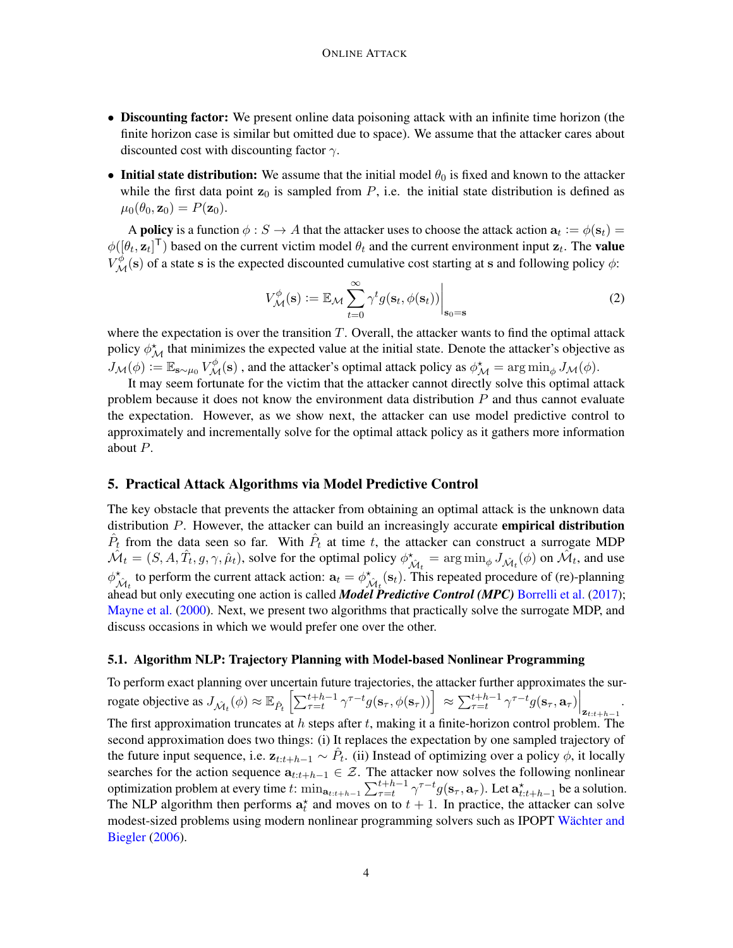- Discounting factor: We present online data poisoning attack with an infinite time horizon (the finite horizon case is similar but omitted due to space). We assume that the attacker cares about discounted cost with discounting factor  $\gamma$ .
- Initial state distribution: We assume that the initial model  $\theta_0$  is fixed and known to the attacker while the first data point  $z_0$  is sampled from P, i.e. the initial state distribution is defined as  $\mu_0(\theta_0, \mathbf{z}_0) = P(\mathbf{z}_0).$

A **policy** is a function  $\phi : S \to A$  that the attacker uses to choose the attack action  $a_t := \phi(s_t) =$  $\phi([\theta_t, \mathbf{z}_t]^T)$  based on the current victim model  $\theta_t$  and the current environment input  $\mathbf{z}_t$ . The **value**  $V_{\mathcal{M}}^{\phi}$  (s) of a state s is the expected discounted cumulative cost starting at s and following policy  $\phi$ :

$$
V_{\mathcal{M}}^{\phi}(\mathbf{s}) := \mathbb{E}_{\mathcal{M}} \sum_{t=0}^{\infty} \gamma^{t} g(\mathbf{s}_{t}, \phi(\mathbf{s}_{t})) \Big|_{\mathbf{s}_{0} = \mathbf{s}}
$$
(2)

where the expectation is over the transition  $T$ . Overall, the attacker wants to find the optimal attack policy  $\phi_{\mathcal{M}}^*$  that minimizes the expected value at the initial state. Denote the attacker's objective as  $J_{\mathcal{M}}(\phi) := \mathbb{E}_{\mathbf{s} \sim \mu_0} V_{\mathcal{M}}^{\phi}(\mathbf{s})$  , and the attacker's optimal attack policy as  $\phi_{\mathcal{M}}^{\star} = \arg \min_{\phi} J_{\mathcal{M}}(\phi)$ .

It may seem fortunate for the victim that the attacker cannot directly solve this optimal attack problem because it does not know the environment data distribution  $P$  and thus cannot evaluate the expectation. However, as we show next, the attacker can use model predictive control to approximately and incrementally solve for the optimal attack policy as it gathers more information about P.

#### 5. Practical Attack Algorithms via Model Predictive Control

The key obstacle that prevents the attacker from obtaining an optimal attack is the unknown data distribution  $P$ . However, the attacker can build an increasingly accurate **empirical distribution**  $\hat{P}_t$  from the data seen so far. With  $\hat{P}_t$  at time t, the attacker can construct a surrogate MDP  $\hat{\mathcal{M}}_t = (S, A, \hat{T}_t, g, \gamma, \hat{\mu}_t)$ , solve for the optimal policy  $\phi^{\star}_{\hat{\mathcal{M}}_t} = \arg \min_{\phi} J_{\hat{\mathcal{M}}_t}(\phi)$  on  $\hat{\mathcal{M}}_t$ , and use  $\phi_{\hat{M}_t}^*$  to perform the current attack action:  $a_t = \phi_{\hat{M}_t}^*(s_t)$ . This repeated procedure of (re)-planning ahead but only executing one action is called *Model Predictive Control (MPC)* [Borrelli et al.](#page-8-8) [\(2017\)](#page-8-8); [Mayne et al.](#page-9-10) [\(2000\)](#page-9-10). Next, we present two algorithms that practically solve the surrogate MDP, and discuss occasions in which we would prefer one over the other.

#### 5.1. Algorithm NLP: Trajectory Planning with Model-based Nonlinear Programming

To perform exact planning over uncertain future trajectories, the attacker further approximates the surrogate objective as  $J_{\hat{\mathcal{M}}_t}(\phi) \approx \mathbb{E}_{\hat{P}_t} \left[ \sum_{\tau=t}^{t+h-1} \gamma^{\tau-t} g(\mathbf{s}_\tau, \phi(\mathbf{s}_\tau)) \right] \approx \sum_{\tau=t}^{t+h-1} \gamma^{\tau-t} g(\mathbf{s}_\tau, \mathbf{a}_\tau) \Big|_{\mathbf{z}_{t:t+h-1}}$ . The first approximation truncates at  $h$  steps after  $t$ , making it a finite-horizon control problem. The second approximation does two things: (i) It replaces the expectation by one sampled trajectory of the future input sequence, i.e.  $z_{t:t+h-1} \sim \hat{P}_t$ . (ii) Instead of optimizing over a policy  $\phi$ , it locally searches for the action sequence  $a_{t:t+h-1} \in \mathcal{Z}$ . The attacker now solves the following nonlinear optimization problem at every time t:  $\min_{a_{t:t+h-1}} \sum_{\tau=t}^{t+h-1} \gamma^{\tau-t} g(s_\tau, a_\tau)$ . Let  $a_{t:t+h-1}^{\star}$  be a solution. The NLP algorithm then performs  $a_t^*$  and moves on to  $t + 1$ . In practice, the attacker can solve modest-sized problems using modern nonlinear programming solvers such as IPOPT [Wächter and](#page-9-11) [Biegler](#page-9-11) [\(2006\)](#page-9-11).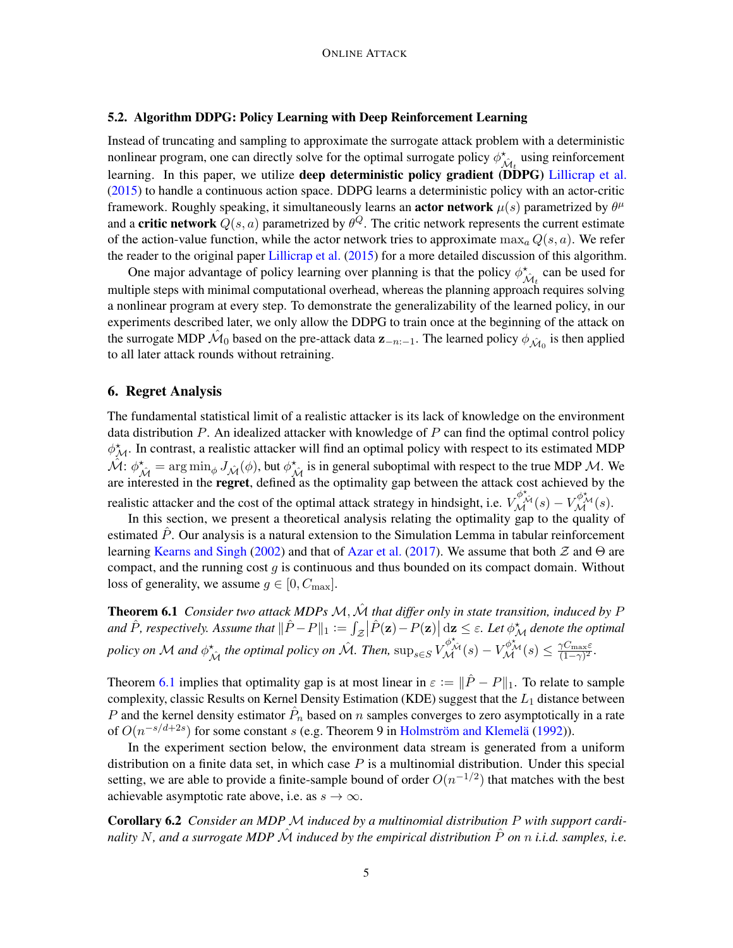### 5.2. Algorithm DDPG: Policy Learning with Deep Reinforcement Learning

Instead of truncating and sampling to approximate the surrogate attack problem with a deterministic nonlinear program, one can directly solve for the optimal surrogate policy  $\phi_{\hat{M}_t}^{\star}$  using reinforcement learning. In this paper, we utilize **deep deterministic policy gradient (DDPG)** [Lillicrap et al.](#page-9-12) [\(2015\)](#page-9-12) to handle a continuous action space. DDPG learns a deterministic policy with an actor-critic framework. Roughly speaking, it simultaneously learns an **actor network**  $\mu(s)$  parametrized by  $\theta^{\mu}$ and a critic network  $Q(s, a)$  parametrized by  $\theta^Q$ . The critic network represents the current estimate of the action-value function, while the actor network tries to approximate  $\max_{a} Q(s, a)$ . We refer the reader to the original paper [Lillicrap et al.](#page-9-12) [\(2015\)](#page-9-12) for a more detailed discussion of this algorithm.

One major advantage of policy learning over planning is that the policy  $\phi_{\hat{\mathcal{M}}_t}^{\star}$  can be used for multiple steps with minimal computational overhead, whereas the planning approach requires solving a nonlinear program at every step. To demonstrate the generalizability of the learned policy, in our experiments described later, we only allow the DDPG to train once at the beginning of the attack on the surrogate MDP  $\hat{M}_0$  based on the pre-attack data  $z_{-n-1}$ . The learned policy  $\phi_{\hat{M}_0}$  is then applied to all later attack rounds without retraining.

### 6. Regret Analysis

The fundamental statistical limit of a realistic attacker is its lack of knowledge on the environment data distribution  $P$ . An idealized attacker with knowledge of  $P$  can find the optimal control policy  $\phi_{\mathcal{M}}^*$ . In contrast, a realistic attacker will find an optimal policy with respect to its estimated MDP  $\hat{\mathcal{M}}$ :  $\phi_{\hat{\mathcal{M}}}^* = \arg \min_{\phi} J_{\hat{\mathcal{M}}}(\phi)$ , but  $\phi_{\hat{\mathcal{M}}}^*$  is in general suboptimal with respect to the true MDP M. We are interested in the **regret**, defined as the optimality gap between the attack cost achieved by the realistic attacker and the cost of the optimal attack strategy in hindsight, i.e.  $V_{\mathcal{M}}^{\phi^*_{\mathcal{M}}}(s) - V_{\mathcal{M}}^{\phi^*_{\mathcal{M}}}(s)$ .

In this section, we present a theoretical analysis relating the optimality gap to the quality of estimated  $P$ . Our analysis is a natural extension to the Simulation Lemma in tabular reinforcement learning [Kearns and Singh](#page-8-9) [\(2002\)](#page-8-9) and that of [Azar et al.](#page-8-10) [\(2017\)](#page-8-10). We assume that both  $\mathcal Z$  and  $\Theta$  are compact, and the running cost  $g$  is continuous and thus bounded on its compact domain. Without loss of generality, we assume  $g \in [0, C_{\text{max}}]$ .

<span id="page-4-0"></span>**Theorem 6.1** *Consider two attack MDPs M,*  $\hat{\mathcal{M}}$  *that differ only in state transition, induced by* P and  $\hat{P}$ , respectively. Assume that  $\|\hat{P}-P\|_1:=\int_{\mathcal{Z}}\bigl|\hat{P}(\mathbf{z})-P(\mathbf{z})\bigr|\,\mathrm{d}\mathbf{z}\leq\varepsilon$ . Let  $\phi_{\mathcal{M}}^{\star}$  denote the optimal *policy on* M *and*  $\phi_{\hat{\mathcal{M}}}^*$  *the optimal policy on*  $\hat{\mathcal{M}}$ *. Then,*  $\sup_{s \in S} V_{\mathcal{M}}^{\phi_{\hat{\mathcal{M}}}^*}(s) - V_{\mathcal{M}}^{\phi_{\hat{\mathcal{M}}}^*}(s) \leq \frac{\gamma C_{\max} \varepsilon}{(1 - \gamma)^2}$  $\frac{\gamma C_{\max}\varepsilon}{(1-\gamma)^2}$ .

Theorem [6.1](#page-4-0) implies that optimality gap is at most linear in  $\varepsilon := ||\hat{P} - P||_1$ . To relate to sample complexity, classic Results on Kernel Density Estimation (KDE) suggest that the  $L_1$  distance between P and the kernel density estimator  $\hat{P}_n$  based on n samples converges to zero asymptotically in a rate of  $O(n^{-s/d+2s})$  for some constant s (e.g. Theorem 9 in [Holmström and Klemelä](#page-8-11) [\(1992\)](#page-8-11)).

In the experiment section below, the environment data stream is generated from a uniform distribution on a finite data set, in which case  $P$  is a multinomial distribution. Under this special setting, we are able to provide a finite-sample bound of order  $O(n^{-1/2})$  that matches with the best achievable asymptotic rate above, i.e. as  $s \to \infty$ .

Corollary 6.2 *Consider an MDP* M *induced by a multinomial distribution* P *with support cardinality* N, and a surrogate MDP  $\hat{\mathcal{M}}$  *induced by the empirical distribution*  $\hat{P}$  *on* n *i.i.d.* samples, *i.e.*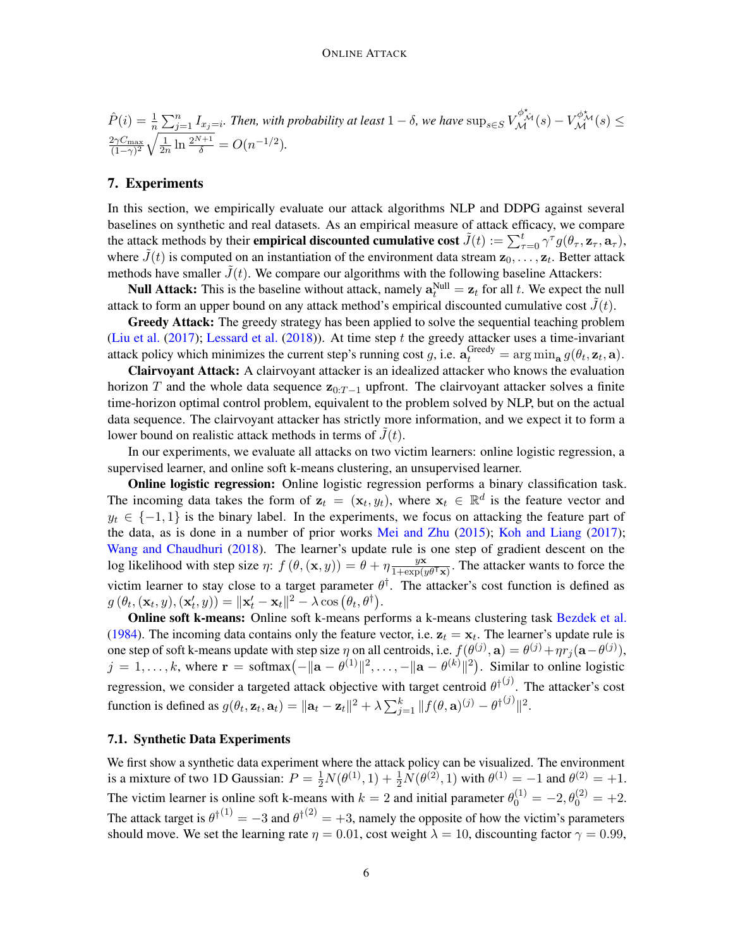$$
\hat{P}(i) = \frac{1}{n} \sum_{j=1}^{n} I_{x_j=i}.
$$
 Then, with probability at least  $1 - \delta$ , we have  $\sup_{s \in S} V_{\mathcal{M}}^{\phi^*_{\mathcal{M}}} (s) - V_{\mathcal{M}}^{\phi^*_{\mathcal{M}}} (s) \le \frac{2\gamma C_{\text{max}}}{(1-\gamma)^2} \sqrt{\frac{1}{2n} \ln \frac{2^{N+1}}{\delta}} = O(n^{-1/2}).$ 

#### 7. Experiments

In this section, we empirically evaluate our attack algorithms NLP and DDPG against several baselines on synthetic and real datasets. As an empirical measure of attack efficacy, we compare the attack methods by their **empirical discounted cumulative cost**  $\tilde{J}(t) := \sum_{\tau=0}^{t} \gamma^{\tau} g(\theta_{\tau}, \mathbf{z}_{\tau}, \mathbf{a}_{\tau}),$ where  $\tilde{J}(t)$  is computed on an instantiation of the environment data stream  $\mathbf{z}_0, \ldots, \mathbf{z}_t$ . Better attack methods have smaller  $J(t)$ . We compare our algorithms with the following baseline Attackers:

**Null Attack:** This is the baseline without attack, namely  $\mathbf{a}_t^{\text{Null}} = \mathbf{z}_t$  for all t. We expect the null attack to form an upper bound on any attack method's empirical discounted cumulative cost  $\tilde{J}(t)$ .

Greedy Attack: The greedy strategy has been applied to solve the sequential teaching problem [\(Liu et al.](#page-9-9)  $(2017)$ ; [Lessard et al.](#page-8-7)  $(2018)$ ). At time step t the greedy attacker uses a time-invariant attack policy which minimizes the current step's running cost g, i.e.  $\mathbf{a}_t^{\text{Greedy}} = \arg \min_{\mathbf{a}} g(\theta_t, \mathbf{z}_t, \mathbf{a})$ .

Clairvoyant Attack: A clairvoyant attacker is an idealized attacker who knows the evaluation horizon T and the whole data sequence  $z_{0:T-1}$  upfront. The clairvoyant attacker solves a finite time-horizon optimal control problem, equivalent to the problem solved by NLP, but on the actual data sequence. The clairvoyant attacker has strictly more information, and we expect it to form a lower bound on realistic attack methods in terms of  $J(t)$ .

In our experiments, we evaluate all attacks on two victim learners: online logistic regression, a supervised learner, and online soft k-means clustering, an unsupervised learner.

Online logistic regression: Online logistic regression performs a binary classification task. The incoming data takes the form of  $z_t = (x_t, y_t)$ , where  $x_t \in \mathbb{R}^d$  is the feature vector and  $y_t \in \{-1, 1\}$  is the binary label. In the experiments, we focus on attacking the feature part of the data, as is done in a number of prior works [Mei and Zhu](#page-9-2) [\(2015\)](#page-9-2); [Koh and Liang](#page-8-5) [\(2017\)](#page-8-5); [Wang and Chaudhuri](#page-9-8) [\(2018\)](#page-9-8). The learner's update rule is one step of gradient descent on the log likelihood with step size  $\eta$ :  $f(\theta, (\mathbf{x}, y)) = \theta + \eta \frac{y\mathbf{x}}{1 + \exp(x)}$  $\frac{yx}{1+\exp(y\theta^{\mathsf{T}}\mathbf{x})}$ . The attacker wants to force the victim learner to stay close to a target parameter  $\theta^{\dagger}$ . The attacker's cost function is defined as  $g(\theta_t, (\mathbf{x}_t, y), (\mathbf{x}'_t, y)) = ||\mathbf{x}'_t - \mathbf{x}_t||^2 - \lambda \cos (\theta_t, \theta^{\dagger}).$ 

Online soft k-means: Online soft k-means performs a k-means clustering task [Bezdek et al.](#page-8-12) [\(1984\)](#page-8-12). The incoming data contains only the feature vector, i.e.  $z_t = x_t$ . The learner's update rule is one step of soft k-means update with step size  $\eta$  on all centroids, i.e.  $f(\theta^{(j)}, \mathbf{a}) = \theta^{(j)} + \eta r_j(\mathbf{a} - \theta^{(j)}),$  $j = 1, \ldots, k$ , where  $\mathbf{r} = \text{softmax}\left(-\|\mathbf{a} - \theta^{(1)}\|^2, \ldots, -\|\mathbf{a} - \theta^{(k)}\|^2\right)$ . Similar to online logistic regression, we consider a targeted attack objective with target centroid  $\theta^{\dagger(j)}$ . The attacker's cost function is defined as  $g(\theta_t, \mathbf{z}_t, \mathbf{a}_t) = ||\mathbf{a}_t - \mathbf{z}_t||^2 + \lambda \sum_{j=1}^k ||f(\theta, \mathbf{a})^{(j)} - \theta^{\dagger(j)}||^2$ .

#### 7.1. Synthetic Data Experiments

We first show a synthetic data experiment where the attack policy can be visualized. The environment is a mixture of two 1D Gaussian:  $P = \frac{1}{2}N(\theta^{(1)}, 1) + \frac{1}{2}N(\theta^{(2)}, 1)$  with  $\theta^{(1)} = -1$  and  $\theta^{(2)} = +1$ . The victim learner is online soft k-means with  $k = 2$  and initial parameter  $\theta_0^{(1)} = -2$ ,  $\theta_0^{(2)} = +2$ . The attack target is  $\theta^{\dagger(1)} = -3$  and  $\theta^{\dagger(2)} = +3$ , namely the opposite of how the victim's parameters should move. We set the learning rate  $\eta = 0.01$ , cost weight  $\lambda = 10$ , discounting factor  $\gamma = 0.99$ ,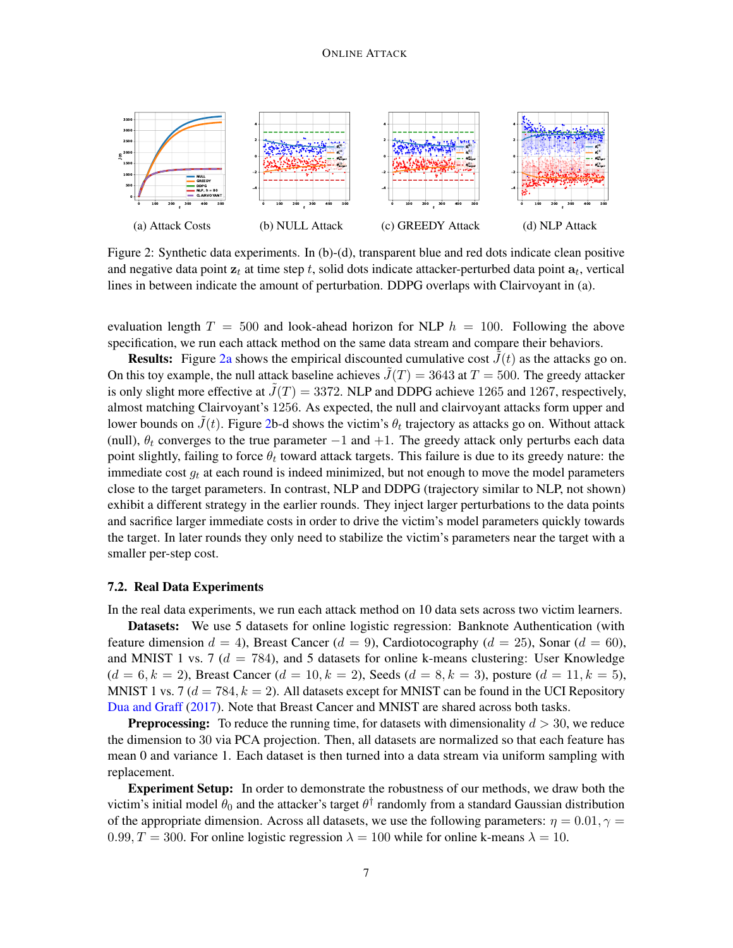<span id="page-6-0"></span>

Figure 2: Synthetic data experiments. In (b)-(d), transparent blue and red dots indicate clean positive and negative data point  $\mathbf{z}_t$  at time step t, solid dots indicate attacker-perturbed data point  $\mathbf{a}_t$ , vertical lines in between indicate the amount of perturbation. DDPG overlaps with Clairvoyant in (a).

evaluation length  $T = 500$  and look-ahead horizon for NLP  $h = 100$ . Following the above specification, we run each attack method on the same data stream and compare their behaviors.

**Results:** Figure [2a](#page-6-0) shows the empirical discounted cumulative cost  $J(t)$  as the attacks go on. On this toy example, the null attack baseline achieves  $\tilde{J}(T) = 3643$  at  $T = 500$ . The greedy attacker is only slight more effective at  $\tilde{J}(T) = 3372$ . NLP and DDPG achieve 1265 and 1267, respectively, almost matching Clairvoyant's 1256. As expected, the null and clairvoyant attacks form upper and lower bounds on  $\tilde{J}(t)$ . Figure [2b](#page-6-0)-d shows the victim's  $\theta_t$  trajectory as attacks go on. Without attack (null),  $\theta_t$  converges to the true parameter  $-1$  and  $+1$ . The greedy attack only perturbs each data point slightly, failing to force  $\theta_t$  toward attack targets. This failure is due to its greedy nature: the immediate cost  $g_t$  at each round is indeed minimized, but not enough to move the model parameters close to the target parameters. In contrast, NLP and DDPG (trajectory similar to NLP, not shown) exhibit a different strategy in the earlier rounds. They inject larger perturbations to the data points and sacrifice larger immediate costs in order to drive the victim's model parameters quickly towards the target. In later rounds they only need to stabilize the victim's parameters near the target with a smaller per-step cost.

#### 7.2. Real Data Experiments

In the real data experiments, we run each attack method on 10 data sets across two victim learners.

Datasets: We use 5 datasets for online logistic regression: Banknote Authentication (with feature dimension  $d = 4$ ), Breast Cancer ( $d = 9$ ), Cardiotocography ( $d = 25$ ), Sonar ( $d = 60$ ), and MNIST 1 vs. 7 ( $d = 784$ ), and 5 datasets for online k-means clustering: User Knowledge  $(d = 6, k = 2)$ , Breast Cancer  $(d = 10, k = 2)$ , Seeds  $(d = 8, k = 3)$ , posture  $(d = 11, k = 5)$ , MNIST 1 vs. 7 ( $d = 784$ ,  $k = 2$ ). All datasets except for MNIST can be found in the UCI Repository [Dua and Graff](#page-8-13) [\(2017\)](#page-8-13). Note that Breast Cancer and MNIST are shared across both tasks.

**Preprocessing:** To reduce the running time, for datasets with dimensionality  $d > 30$ , we reduce the dimension to 30 via PCA projection. Then, all datasets are normalized so that each feature has mean 0 and variance 1. Each dataset is then turned into a data stream via uniform sampling with replacement.

Experiment Setup: In order to demonstrate the robustness of our methods, we draw both the victim's initial model  $\theta_0$  and the attacker's target  $\theta^\dagger$  randomly from a standard Gaussian distribution of the appropriate dimension. Across all datasets, we use the following parameters:  $\eta = 0.01, \gamma =$ 0.99,  $T = 300$ . For online logistic regression  $\lambda = 100$  while for online k-means  $\lambda = 10$ .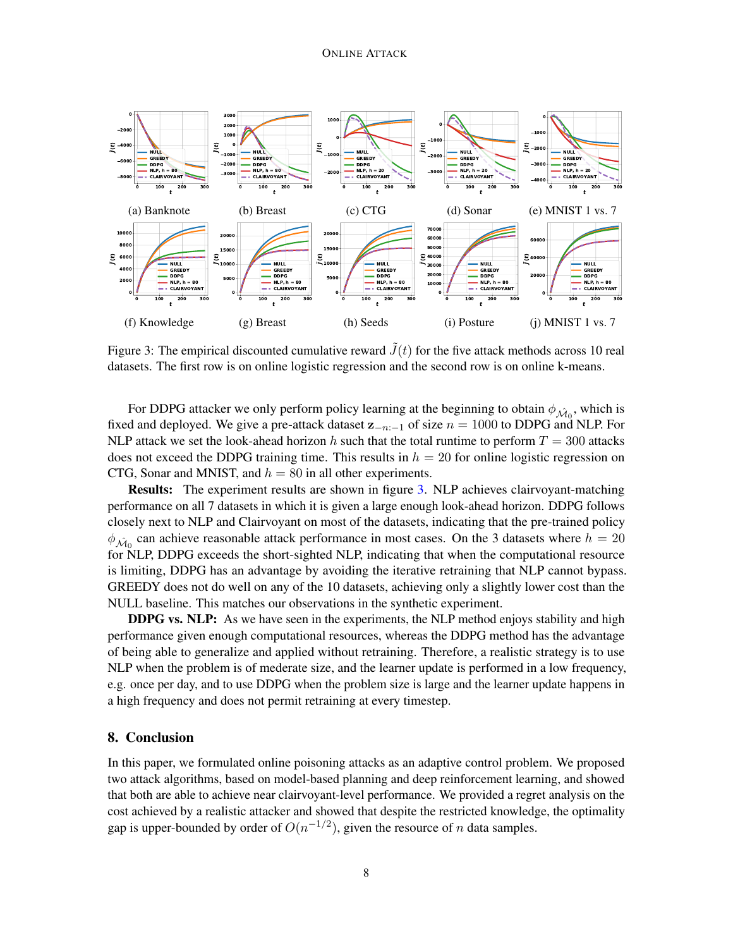<span id="page-7-0"></span>

Figure 3: The empirical discounted cumulative reward  $\tilde{J}(t)$  for the five attack methods across 10 real datasets. The first row is on online logistic regression and the second row is on online k-means.

For DDPG attacker we only perform policy learning at the beginning to obtain  $\phi_{\hat{M}_0}$ , which is fixed and deployed. We give a pre-attack dataset  $z_{-n-1}$  of size  $n = 1000$  to DDPG and NLP. For NLP attack we set the look-ahead horizon h such that the total runtime to perform  $T = 300$  attacks does not exceed the DDPG training time. This results in  $h = 20$  for online logistic regression on CTG, Sonar and MNIST, and  $h = 80$  in all other experiments.

Results: The experiment results are shown in figure [3.](#page-7-0) NLP achieves clairvoyant-matching performance on all 7 datasets in which it is given a large enough look-ahead horizon. DDPG follows closely next to NLP and Clairvoyant on most of the datasets, indicating that the pre-trained policy  $\phi_{\hat{\mathcal{M}}_0}$  can achieve reasonable attack performance in most cases. On the 3 datasets where  $h = 20$ for NLP, DDPG exceeds the short-sighted NLP, indicating that when the computational resource is limiting, DDPG has an advantage by avoiding the iterative retraining that NLP cannot bypass. GREEDY does not do well on any of the 10 datasets, achieving only a slightly lower cost than the NULL baseline. This matches our observations in the synthetic experiment.

DDPG vs. NLP: As we have seen in the experiments, the NLP method enjoys stability and high performance given enough computational resources, whereas the DDPG method has the advantage of being able to generalize and applied without retraining. Therefore, a realistic strategy is to use NLP when the problem is of mederate size, and the learner update is performed in a low frequency, e.g. once per day, and to use DDPG when the problem size is large and the learner update happens in a high frequency and does not permit retraining at every timestep.

# 8. Conclusion

In this paper, we formulated online poisoning attacks as an adaptive control problem. We proposed two attack algorithms, based on model-based planning and deep reinforcement learning, and showed that both are able to achieve near clairvoyant-level performance. We provided a regret analysis on the cost achieved by a realistic attacker and showed that despite the restricted knowledge, the optimality gap is upper-bounded by order of  $O(n^{-1/2})$ , given the resource of n data samples.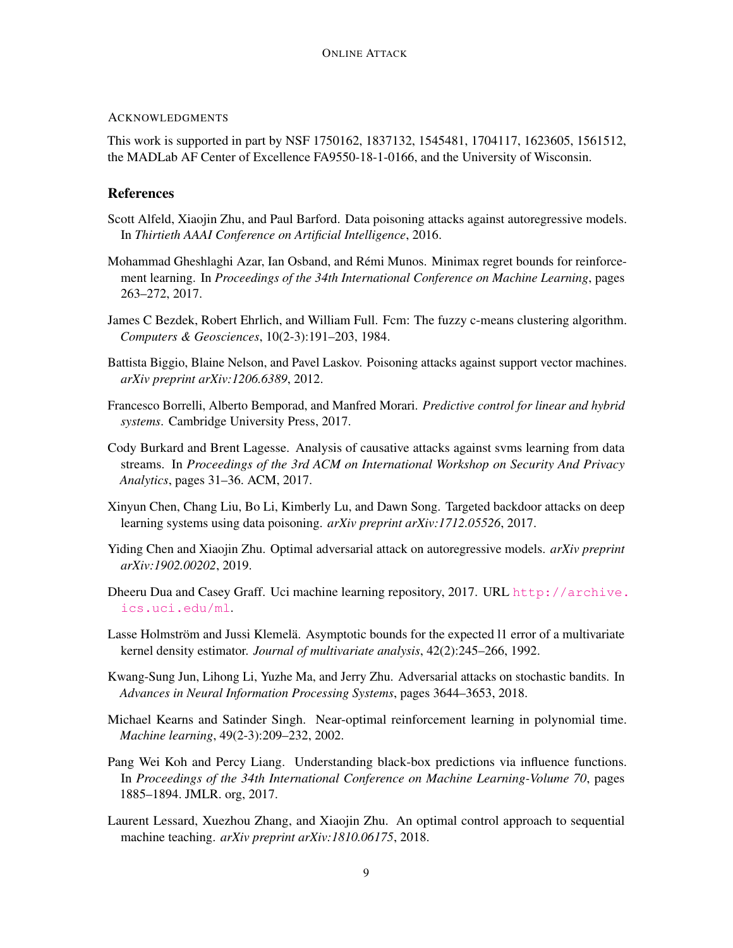## ACKNOWLEDGMENTS

This work is supported in part by NSF 1750162, 1837132, 1545481, 1704117, 1623605, 1561512, the MADLab AF Center of Excellence FA9550-18-1-0166, and the University of Wisconsin.

# **References**

- <span id="page-8-6"></span>Scott Alfeld, Xiaojin Zhu, and Paul Barford. Data poisoning attacks against autoregressive models. In *Thirtieth AAAI Conference on Artificial Intelligence*, 2016.
- <span id="page-8-10"></span>Mohammad Gheshlaghi Azar, Ian Osband, and Rémi Munos. Minimax regret bounds for reinforcement learning. In *Proceedings of the 34th International Conference on Machine Learning*, pages 263–272, 2017.
- <span id="page-8-12"></span>James C Bezdek, Robert Ehrlich, and William Full. Fcm: The fuzzy c-means clustering algorithm. *Computers & Geosciences*, 10(2-3):191–203, 1984.
- <span id="page-8-3"></span>Battista Biggio, Blaine Nelson, and Pavel Laskov. Poisoning attacks against support vector machines. *arXiv preprint arXiv:1206.6389*, 2012.
- <span id="page-8-8"></span>Francesco Borrelli, Alberto Bemporad, and Manfred Morari. *Predictive control for linear and hybrid systems*. Cambridge University Press, 2017.
- <span id="page-8-0"></span>Cody Burkard and Brent Lagesse. Analysis of causative attacks against svms learning from data streams. In *Proceedings of the 3rd ACM on International Workshop on Security And Privacy Analytics*, pages 31–36. ACM, 2017.
- <span id="page-8-4"></span>Xinyun Chen, Chang Liu, Bo Li, Kimberly Lu, and Dawn Song. Targeted backdoor attacks on deep learning systems using data poisoning. *arXiv preprint arXiv:1712.05526*, 2017.
- <span id="page-8-1"></span>Yiding Chen and Xiaojin Zhu. Optimal adversarial attack on autoregressive models. *arXiv preprint arXiv:1902.00202*, 2019.
- <span id="page-8-13"></span>Dheeru Dua and Casey Graff. Uci machine learning repository, 2017. URL [http://archive.](http://archive.ics.uci.edu/ml) [ics.uci.edu/ml](http://archive.ics.uci.edu/ml).
- <span id="page-8-11"></span>Lasse Holmström and Jussi Klemelä. Asymptotic bounds for the expected l1 error of a multivariate kernel density estimator. *Journal of multivariate analysis*, 42(2):245–266, 1992.
- <span id="page-8-2"></span>Kwang-Sung Jun, Lihong Li, Yuzhe Ma, and Jerry Zhu. Adversarial attacks on stochastic bandits. In *Advances in Neural Information Processing Systems*, pages 3644–3653, 2018.
- <span id="page-8-9"></span>Michael Kearns and Satinder Singh. Near-optimal reinforcement learning in polynomial time. *Machine learning*, 49(2-3):209–232, 2002.
- <span id="page-8-5"></span>Pang Wei Koh and Percy Liang. Understanding black-box predictions via influence functions. In *Proceedings of the 34th International Conference on Machine Learning-Volume 70*, pages 1885–1894. JMLR. org, 2017.
- <span id="page-8-7"></span>Laurent Lessard, Xuezhou Zhang, and Xiaojin Zhu. An optimal control approach to sequential machine teaching. *arXiv preprint arXiv:1810.06175*, 2018.